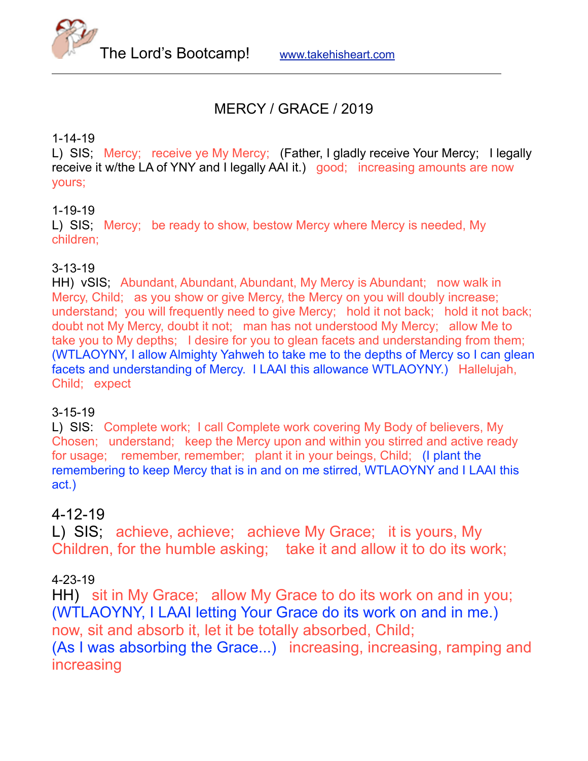

# MERCY / GRACE / 2019

#### 1-14-19

L) SIS; Mercy; receive ye My Mercy; (Father, I gladly receive Your Mercy; I legally receive it w/the LA of YNY and I legally AAI it.) good; increasing amounts are now yours;

#### 1-19-19

L) SIS; Mercy; be ready to show, bestow Mercy where Mercy is needed, My children;

#### 3-13-19

HH) vSIS; Abundant, Abundant, Abundant, My Mercy is Abundant; now walk in Mercy, Child; as you show or give Mercy, the Mercy on you will doubly increase; understand; you will frequently need to give Mercy; hold it not back; hold it not back; doubt not My Mercy, doubt it not; man has not understood My Mercy; allow Me to take you to My depths; I desire for you to glean facets and understanding from them; (WTLAOYNY, I allow Almighty Yahweh to take me to the depths of Mercy so I can glean facets and understanding of Mercy. I LAAI this allowance WTLAOYNY.) Hallelujah, Child; expect

## 3-15-19

L) SIS: Complete work; I call Complete work covering My Body of believers, My Chosen; understand; keep the Mercy upon and within you stirred and active ready for usage; remember, remember; plant it in your beings, Child; (I plant the remembering to keep Mercy that is in and on me stirred, WTLAOYNY and I LAAI this act.)

## 4-12-19

L) SIS; achieve, achieve; achieve My Grace; it is yours, My Children, for the humble asking; take it and allow it to do its work;

## 4-23-19

HH) sit in My Grace; allow My Grace to do its work on and in you; (WTLAOYNY, I LAAI letting Your Grace do its work on and in me.) now, sit and absorb it, let it be totally absorbed, Child; (As I was absorbing the Grace...) increasing, increasing, ramping and increasing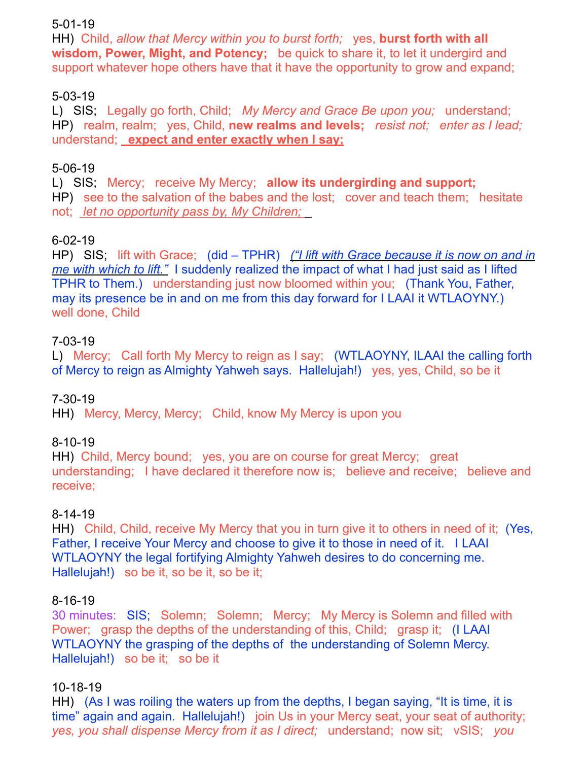#### 5-01-19

HH) Child, *allow that Mercy within you to burst forth;* yes, **burst forth with all wisdom, Power, Might, and Potency;** be quick to share it, to let it undergird and support whatever hope others have that it have the opportunity to grow and expand;

### 5-03-19

L) SIS; Legally go forth, Child; *My Mercy and Grace Be upon you;* understand; HP) realm, realm; yes, Child, **new realms and levels;** *resist not; enter as I lead;*  understand; **expect and enter exactly when I say;**

#### 5-06-19

L) SIS; Mercy; receive My Mercy; **allow its undergirding and support;** HP) see to the salvation of the babes and the lost; cover and teach them; hesitate not; *let no opportunity pass by, My Children;* 

## 6-02-19

HP) SIS; lift with Grace; (did – TPHR) *("I lift with Grace because it is now on and in me with which to lift."* I suddenly realized the impact of what I had just said as I lifted TPHR to Them.) understanding just now bloomed within you; (Thank You, Father, may its presence be in and on me from this day forward for I LAAI it WTLAOYNY.) well done, Child

#### 7-03-19

L) Mercy; Call forth My Mercy to reign as I say; (WTLAOYNY, ILAAI the calling forth of Mercy to reign as Almighty Yahweh says. Hallelujah!) yes, yes, Child, so be it

#### 7-30-19

HH) Mercy, Mercy, Mercy; Child, know My Mercy is upon you

## 8-10-19

HH) Child, Mercy bound; yes, you are on course for great Mercy; great understanding; I have declared it therefore now is; believe and receive; believe and receive;

#### 8-14-19

HH) Child, Child, receive My Mercy that you in turn give it to others in need of it; (Yes, Father, I receive Your Mercy and choose to give it to those in need of it. I LAAI WTLAOYNY the legal fortifying Almighty Yahweh desires to do concerning me. Hallelujah!) so be it, so be it, so be it;

#### 8-16-19

30 minutes: SIS; Solemn; Solemn; Mercy; My Mercy is Solemn and filled with Power; grasp the depths of the understanding of this, Child; grasp it; (I LAAI WTLAOYNY the grasping of the depths of the understanding of Solemn Mercy. Hallelujah!) so be it; so be it

#### 10-18-19

HH) (As I was roiling the waters up from the depths, I began saying, "It is time, it is time" again and again. Hallelujah!) join Us in your Mercy seat, your seat of authority; *yes, you shall dispense Mercy from it as I direct;* understand; now sit; vSIS; *you*